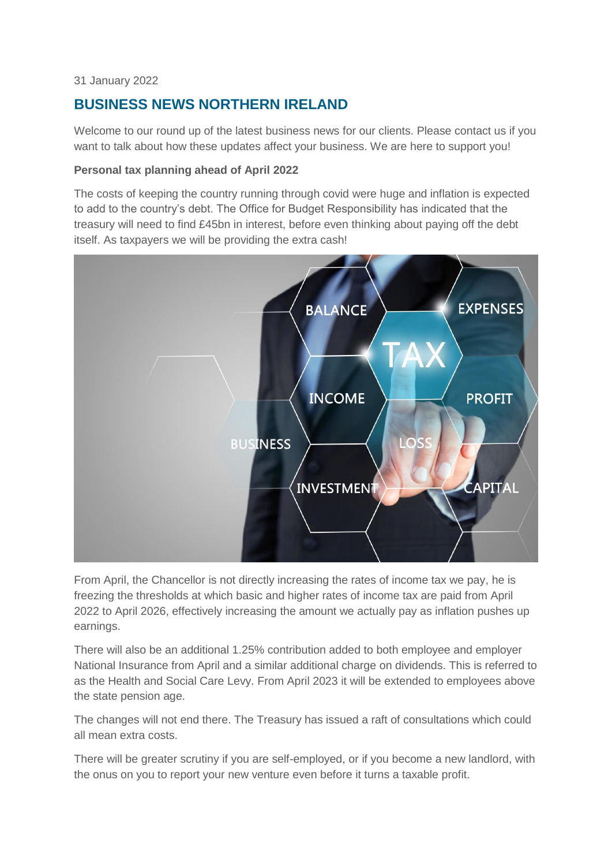#### 31 January 2022

# **BUSINESS NEWS NORTHERN IRELAND**

Welcome to our round up of the latest business news for our clients. Please contact us if you want to talk about how these updates affect your business. We are here to support you!

# **Personal tax planning ahead of April 2022**

The costs of keeping the country running through covid were huge and inflation is expected to add to the country's debt. The Office for Budget Responsibility has indicated that the treasury will need to find £45bn in interest, before even thinking about paying off the debt itself. As taxpayers we will be providing the extra cash!



From April, the Chancellor is not directly increasing the rates of income tax we pay, he is freezing the thresholds at which basic and higher rates of income tax are paid from April 2022 to April 2026, effectively increasing the amount we actually pay as inflation pushes up earnings.

There will also be an additional 1.25% contribution added to both employee and employer National Insurance from April and a similar additional charge on dividends. This is referred to as the Health and Social Care Levy. From April 2023 it will be extended to employees above the state pension age.

The changes will not end there. The Treasury has issued a raft of consultations which could all mean extra costs.

There will be greater scrutiny if you are self-employed, or if you become a new landlord, with the onus on you to report your new venture even before it turns a taxable profit.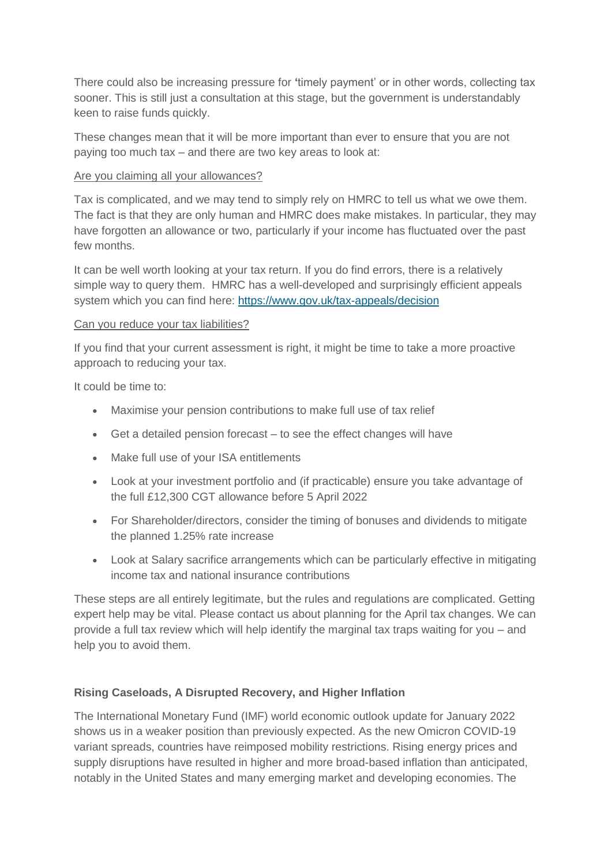There could also be increasing pressure for **'**timely payment' or in other words, collecting tax sooner. This is still just a consultation at this stage, but the government is understandably keen to raise funds quickly.

These changes mean that it will be more important than ever to ensure that you are not paying too much tax – and there are two key areas to look at:

#### Are you claiming all your allowances?

Tax is complicated, and we may tend to simply rely on HMRC to tell us what we owe them. The fact is that they are only human and HMRC does make mistakes. In particular, they may have forgotten an allowance or two, particularly if your income has fluctuated over the past few months.

It can be well worth looking at your tax return. If you do find errors, there is a relatively simple way to query them. HMRC has a well-developed and surprisingly efficient appeals system which you can find here:<https://www.gov.uk/tax-appeals/decision>

# Can you reduce your tax liabilities?

If you find that your current assessment is right, it might be time to take a more proactive approach to reducing your tax.

It could be time to:

- Maximise your pension contributions to make full use of tax relief
- Get a detailed pension forecast to see the effect changes will have
- Make full use of your ISA entitlements
- Look at your investment portfolio and (if practicable) ensure you take advantage of the full £12,300 CGT allowance before 5 April 2022
- For Shareholder/directors, consider the timing of bonuses and dividends to mitigate the planned 1.25% rate increase
- Look at Salary sacrifice arrangements which can be particularly effective in mitigating income tax and national insurance contributions

These steps are all entirely legitimate, but the rules and regulations are complicated. Getting expert help may be vital. Please contact us about planning for the April tax changes. We can provide a full tax review which will help identify the marginal tax traps waiting for you – and help you to avoid them.

# **Rising Caseloads, A Disrupted Recovery, and Higher Inflation**

The International Monetary Fund (IMF) world economic outlook update for January 2022 shows us in a weaker position than previously expected. As the new Omicron COVID-19 variant spreads, countries have reimposed mobility restrictions. Rising energy prices and supply disruptions have resulted in higher and more broad-based inflation than anticipated, notably in the United States and many emerging market and developing economies. The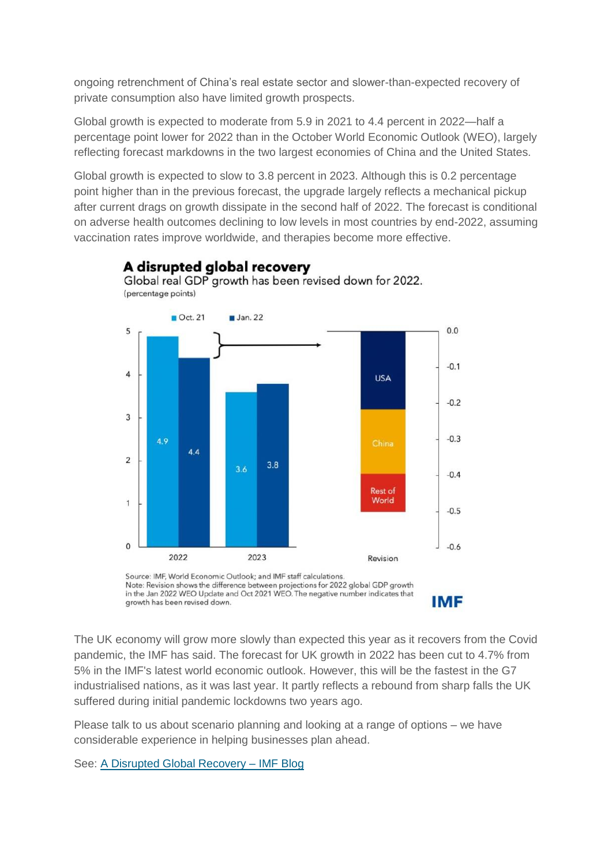ongoing retrenchment of China's real estate sector and slower-than-expected recovery of private consumption also have limited growth prospects.

Global growth is expected to moderate from 5.9 in 2021 to 4.4 percent in 2022—half a percentage point lower for 2022 than in the October World Economic Outlook (WEO), largely reflecting forecast markdowns in the two largest economies of China and the United States.

Global growth is expected to slow to 3.8 percent in 2023. Although this is 0.2 percentage point higher than in the previous forecast, the upgrade largely reflects a mechanical pickup after current drags on growth dissipate in the second half of 2022. The forecast is conditional on adverse health outcomes declining to low levels in most countries by end-2022, assuming vaccination rates improve worldwide, and therapies become more effective.

A disrupted global recovery



Note: Revision shows the difference between projections for 2022 global GDP growth<br>in the Jan 2022 WEO Update and Oct 2021 WEO. The negative number indicates that **IMF** growth has been revised down.

The UK economy will grow more slowly than expected this year as it recovers from the Covid pandemic, the IMF has said. The forecast for UK growth in 2022 has been cut to 4.7% from 5% in the IMF's latest world economic outlook. However, this will be the fastest in the G7 industrialised nations, as it was last year. It partly reflects a rebound from sharp falls the UK suffered during initial pandemic lockdowns two years ago.

Please talk to us about scenario planning and looking at a range of options – we have considerable experience in helping businesses plan ahead.

See: [A Disrupted Global Recovery –](https://blogs.imf.org/2022/01/25/a-disrupted-global-recovery/) IMF Blog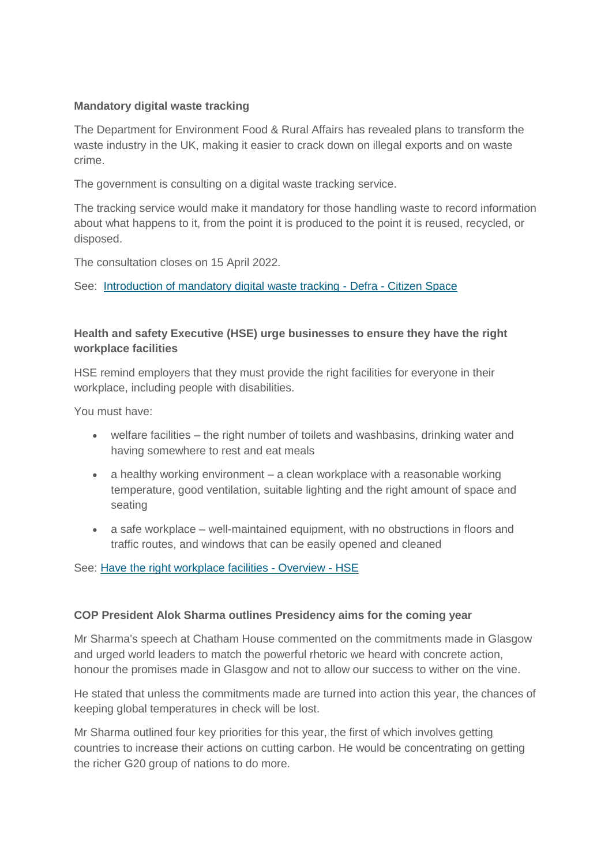# **Mandatory digital waste tracking**

The Department for Environment Food & Rural Affairs has revealed plans to transform the waste industry in the UK, making it easier to crack down on illegal exports and on waste crime.

The government is consulting on a digital waste tracking service.

The tracking service would make it mandatory for those handling waste to record information about what happens to it, from the point it is produced to the point it is reused, recycled, or disposed.

The consultation closes on 15 April 2022.

See: [Introduction of mandatory digital waste tracking -](https://consult.defra.gov.uk/environmental-quality/waste-tracking/) Defra - Citizen Space

# **Health and safety Executive (HSE) urge businesses to ensure they have the right workplace facilities**

HSE remind employers that they must provide the right facilities for everyone in their workplace, including people with disabilities.

You must have:

- welfare facilities the right number of toilets and washbasins, drinking water and having somewhere to rest and eat meals
- a healthy working environment a clean workplace with a reasonable working temperature, good ventilation, suitable lighting and the right amount of space and seating
- a safe workplace well-maintained equipment, with no obstructions in floors and traffic routes, and windows that can be easily opened and cleaned

#### See: [Have the right workplace facilities -](https://www.hse.gov.uk/simple-health-safety/workplace-facilities/index.htm?utm_source=govdelivery&utm_medium=email&utm_campaign=guidance-push&utm_term=facilities-headline&utm_content=digest-13-jan-22) Overview - HSE

#### **COP President Alok Sharma outlines Presidency aims for the coming year**

Mr Sharma's speech at Chatham House commented on the commitments made in Glasgow and urged world leaders to match the powerful rhetoric we heard with concrete action, honour the promises made in Glasgow and not to allow our success to wither on the vine.

He stated that unless the commitments made are turned into action this year, the chances of keeping global temperatures in check will be lost.

Mr Sharma outlined four key priorities for this year, the first of which involves getting countries to increase their actions on cutting carbon. He would be concentrating on getting the richer G20 group of nations to do more.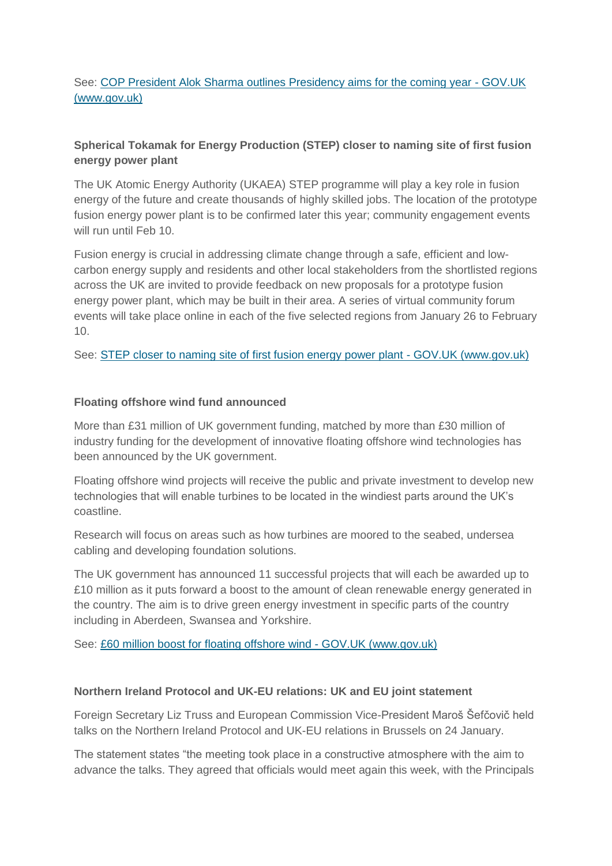# See: [COP President Alok Sharma outlines Presidency aims for the coming year -](https://www.gov.uk/government/speeches/cop-president-alok-sharma-outlines-presidency-aims-for-the-coming-year) GOV.UK [\(www.gov.uk\)](https://www.gov.uk/government/speeches/cop-president-alok-sharma-outlines-presidency-aims-for-the-coming-year)

# **Spherical Tokamak for Energy Production (STEP) closer to naming site of first fusion energy power plant**

The UK Atomic Energy Authority (UKAEA) STEP programme will play a key role in fusion energy of the future and create thousands of highly skilled jobs. The location of the prototype fusion energy power plant is to be confirmed later this year; community engagement events will run until Feb 10.

Fusion energy is crucial in addressing climate change through a safe, efficient and lowcarbon energy supply and residents and other local stakeholders from the shortlisted regions across the UK are invited to provide feedback on new proposals for a prototype fusion energy power plant, which may be built in their area. A series of virtual community forum events will take place online in each of the five selected regions from January 26 to February 10.

See: [STEP closer to naming site of first fusion energy power plant -](https://www.gov.uk/government/news/step-closer-to-naming-site-of-first-fusion-energy-power-plant) GOV.UK (www.gov.uk)

# **Floating offshore wind fund announced**

More than £31 million of UK government funding, matched by more than £30 million of industry funding for the development of innovative floating offshore wind technologies has been announced by the UK government.

Floating offshore wind projects will receive the public and private investment to develop new technologies that will enable turbines to be located in the windiest parts around the UK's coastline.

Research will focus on areas such as how turbines are moored to the seabed, undersea cabling and developing foundation solutions.

The UK government has announced 11 successful projects that will each be awarded up to £10 million as it puts forward a boost to the amount of clean renewable energy generated in the country. The aim is to drive green energy investment in specific parts of the country including in Aberdeen, Swansea and Yorkshire.

See: [£60 million boost for floating offshore wind -](https://www.gov.uk/government/news/60-million-boost-for-floating-offshore-wind) GOV.UK (www.gov.uk)

# **Northern Ireland Protocol and UK-EU relations: UK and EU joint statement**

Foreign Secretary Liz Truss and European Commission Vice-President Maroš Šefčovič held talks on the Northern Ireland Protocol and UK-EU relations in Brussels on 24 January.

The statement states "the meeting took place in a constructive atmosphere with the aim to advance the talks. They agreed that officials would meet again this week, with the Principals